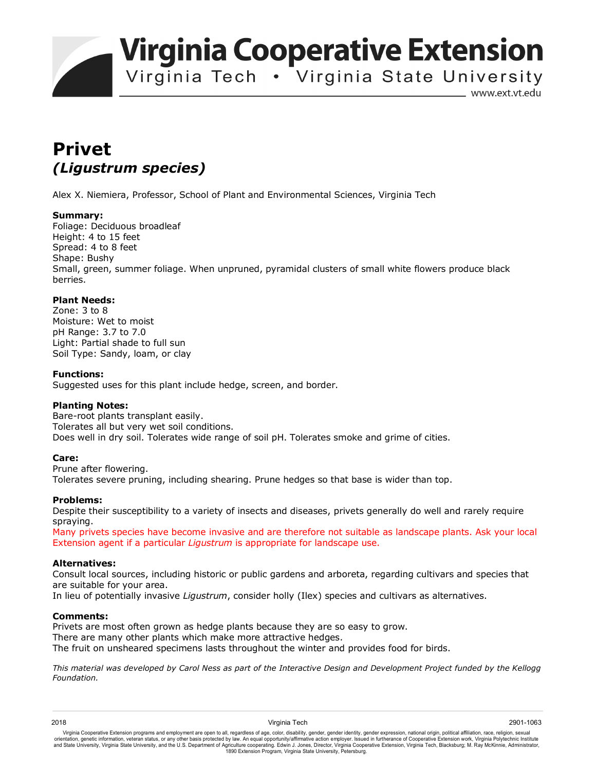**Virginia Cooperative Extension** 

Virginia Tech . Virginia State University

www.ext.vt.edu

# **Privet**  *(Ligustrum species)*

Alex X. Niemiera, Professor, School of Plant and Environmental Sciences, Virginia Tech

### **Summary:**

Foliage: Deciduous broadleaf Height: 4 to 15 feet Spread: 4 to 8 feet Shape: Bushy Small, green, summer foliage. When unpruned, pyramidal clusters of small white flowers produce black berries.

## **Plant Needs:**

Zone: 3 to 8 Moisture: Wet to moist pH Range: 3.7 to 7.0 Light: Partial shade to full sun Soil Type: Sandy, loam, or clay

#### **Functions:**

Suggested uses for this plant include hedge, screen, and border.

### **Planting Notes:**

Bare-root plants transplant easily. Tolerates all but very wet soil conditions. Does well in dry soil. Tolerates wide range of soil pH. Tolerates smoke and grime of cities.

### **Care:**

Prune after flowering. Tolerates severe pruning, including shearing. Prune hedges so that base is wider than top.

### **Problems:**

Despite their susceptibility to a variety of insects and diseases, privets generally do well and rarely require spraying.

Many privets species have become invasive and are therefore not suitable as landscape plants. Ask your local Extension agent if a particular *Ligustrum* is appropriate for landscape use.

### **Alternatives:**

Consult local sources, including historic or public gardens and arboreta, regarding cultivars and species that are suitable for your area.

In lieu of potentially invasive *Ligustrum*, consider holly (Ilex) species and cultivars as alternatives.

#### **Comments:**

Privets are most often grown as hedge plants because they are so easy to grow. There are many other plants which make more attractive hedges. The fruit on unsheared specimens lasts throughout the winter and provides food for birds.

*This material was developed by Carol Ness as part of the Interactive Design and Development Project funded by the Kellogg Foundation.*